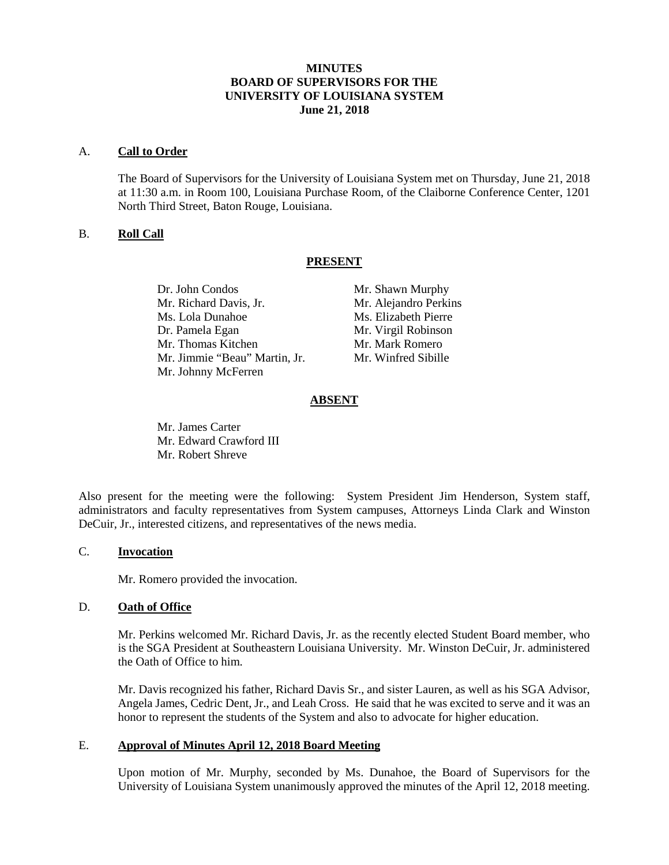# **MINUTES BOARD OF SUPERVISORS FOR THE UNIVERSITY OF LOUISIANA SYSTEM June 21, 2018**

### A. **Call to Order**

The Board of Supervisors for the University of Louisiana System met on Thursday, June 21, 2018 at 11:30 a.m. in Room 100, Louisiana Purchase Room, of the Claiborne Conference Center, 1201 North Third Street, Baton Rouge, Louisiana.

## B. **Roll Call**

## **PRESENT**

Dr. John Condos Mr. Shawn Murphy Mr. Richard Davis, Jr. Mr. Alejandro Perkins Ms. Lola Dunahoe Ms. Elizabeth Pierre Dr. Pamela Egan Mr. Virgil Robinson Mr. Thomas Kitchen Mr. Mark Romero Mr. Jimmie "Beau" Martin, Jr. Mr. Winfred Sibille Mr. Johnny McFerren

## **ABSENT**

Mr. James Carter Mr. Edward Crawford III Mr. Robert Shreve

Also present for the meeting were the following: System President Jim Henderson, System staff, administrators and faculty representatives from System campuses, Attorneys Linda Clark and Winston DeCuir, Jr., interested citizens, and representatives of the news media.

### C. **Invocation**

Mr. Romero provided the invocation.

## D. **Oath of Office**

Mr. Perkins welcomed Mr. Richard Davis, Jr. as the recently elected Student Board member, who is the SGA President at Southeastern Louisiana University. Mr. Winston DeCuir, Jr. administered the Oath of Office to him.

Mr. Davis recognized his father, Richard Davis Sr., and sister Lauren, as well as his SGA Advisor, Angela James, Cedric Dent, Jr., and Leah Cross. He said that he was excited to serve and it was an honor to represent the students of the System and also to advocate for higher education.

### E. **Approval of Minutes April 12, 2018 Board Meeting**

Upon motion of Mr. Murphy, seconded by Ms. Dunahoe, the Board of Supervisors for the University of Louisiana System unanimously approved the minutes of the April 12, 2018 meeting.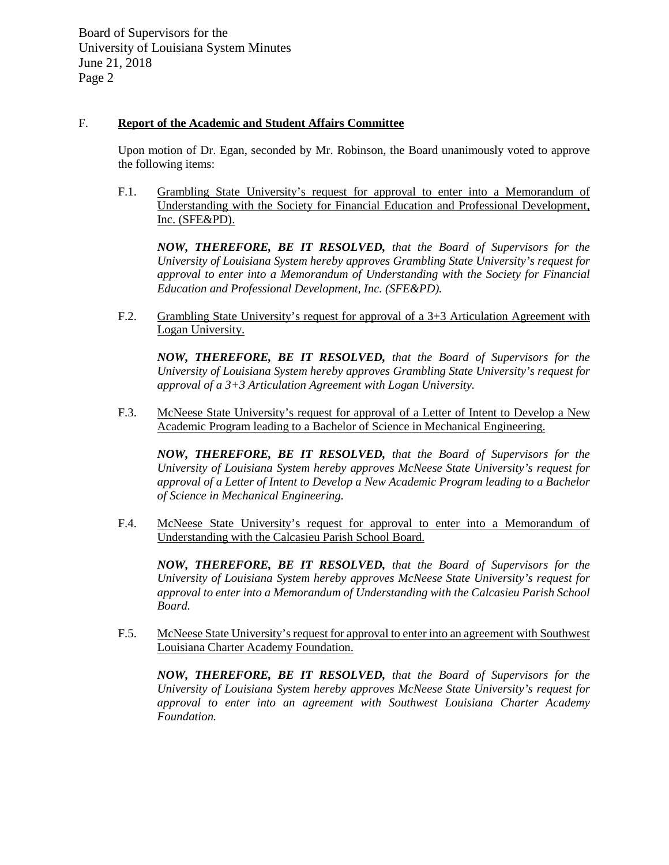# F. **Report of the Academic and Student Affairs Committee**

Upon motion of Dr. Egan, seconded by Mr. Robinson, the Board unanimously voted to approve the following items:

F.1. Grambling State University's request for approval to enter into a Memorandum of Understanding with the Society for Financial Education and Professional Development, Inc. (SFE&PD).

*NOW, THEREFORE, BE IT RESOLVED, that the Board of Supervisors for the University of Louisiana System hereby approves Grambling State University's request for approval to enter into a Memorandum of Understanding with the Society for Financial Education and Professional Development, Inc. (SFE&PD).*

F.2. Grambling State University's request for approval of a 3+3 Articulation Agreement with Logan University.

*NOW, THEREFORE, BE IT RESOLVED, that the Board of Supervisors for the University of Louisiana System hereby approves Grambling State University's request for approval of a 3+3 Articulation Agreement with Logan University.*

F.3. McNeese State University's request for approval of a Letter of Intent to Develop a New Academic Program leading to a Bachelor of Science in Mechanical Engineering.

*NOW, THEREFORE, BE IT RESOLVED, that the Board of Supervisors for the University of Louisiana System hereby approves McNeese State University's request for approval of a Letter of Intent to Develop a New Academic Program leading to a Bachelor of Science in Mechanical Engineering.*

F.4. McNeese State University's request for approval to enter into a Memorandum of Understanding with the Calcasieu Parish School Board.

*NOW, THEREFORE, BE IT RESOLVED, that the Board of Supervisors for the University of Louisiana System hereby approves McNeese State University's request for approval to enter into a Memorandum of Understanding with the Calcasieu Parish School Board.*

F.5. McNeese State University's request for approval to enter into an agreement with Southwest Louisiana Charter Academy Foundation.

*NOW, THEREFORE, BE IT RESOLVED, that the Board of Supervisors for the University of Louisiana System hereby approves McNeese State University's request for approval to enter into an agreement with Southwest Louisiana Charter Academy Foundation.*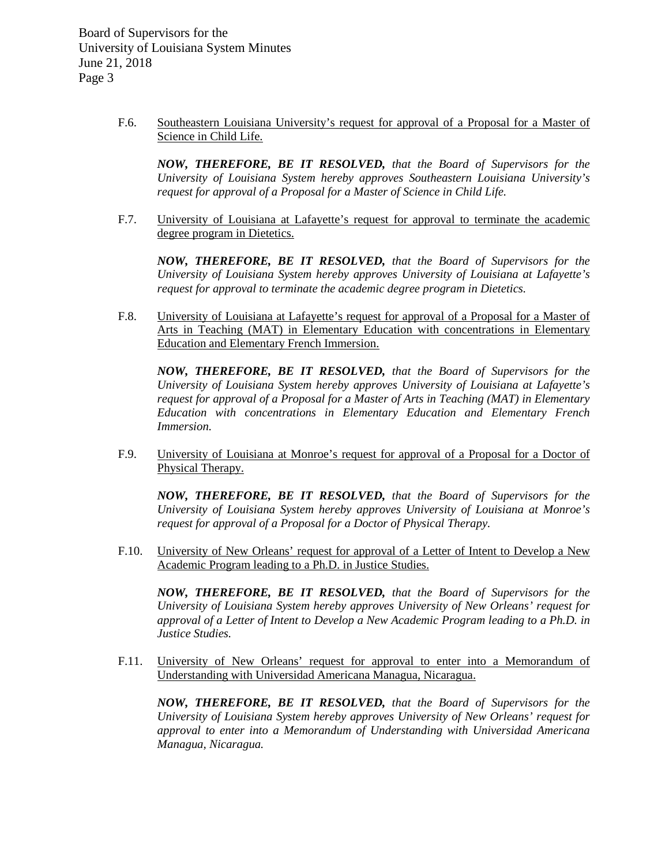> F.6. Southeastern Louisiana University's request for approval of a Proposal for a Master of Science in Child Life.

*NOW, THEREFORE, BE IT RESOLVED, that the Board of Supervisors for the University of Louisiana System hereby approves Southeastern Louisiana University's request for approval of a Proposal for a Master of Science in Child Life.* 

F.7. University of Louisiana at Lafayette's request for approval to terminate the academic degree program in Dietetics.

*NOW, THEREFORE, BE IT RESOLVED, that the Board of Supervisors for the University of Louisiana System hereby approves University of Louisiana at Lafayette's request for approval to terminate the academic degree program in Dietetics.* 

F.8. University of Louisiana at Lafayette's request for approval of a Proposal for a Master of Arts in Teaching (MAT) in Elementary Education with concentrations in Elementary Education and Elementary French Immersion.

*NOW, THEREFORE, BE IT RESOLVED, that the Board of Supervisors for the University of Louisiana System hereby approves University of Louisiana at Lafayette's request for approval of a Proposal for a Master of Arts in Teaching (MAT) in Elementary Education with concentrations in Elementary Education and Elementary French Immersion.*

F.9. University of Louisiana at Monroe's request for approval of a Proposal for a Doctor of Physical Therapy.

*NOW, THEREFORE, BE IT RESOLVED, that the Board of Supervisors for the University of Louisiana System hereby approves University of Louisiana at Monroe's request for approval of a Proposal for a Doctor of Physical Therapy.*

F.10. University of New Orleans' request for approval of a Letter of Intent to Develop a New Academic Program leading to a Ph.D. in Justice Studies.

*NOW, THEREFORE, BE IT RESOLVED, that the Board of Supervisors for the University of Louisiana System hereby approves University of New Orleans' request for approval of a Letter of Intent to Develop a New Academic Program leading to a Ph.D. in Justice Studies.*

F.11. University of New Orleans' request for approval to enter into a Memorandum of Understanding with Universidad Americana Managua, Nicaragua.

*NOW, THEREFORE, BE IT RESOLVED, that the Board of Supervisors for the University of Louisiana System hereby approves University of New Orleans' request for approval to enter into a Memorandum of Understanding with Universidad Americana Managua, Nicaragua.*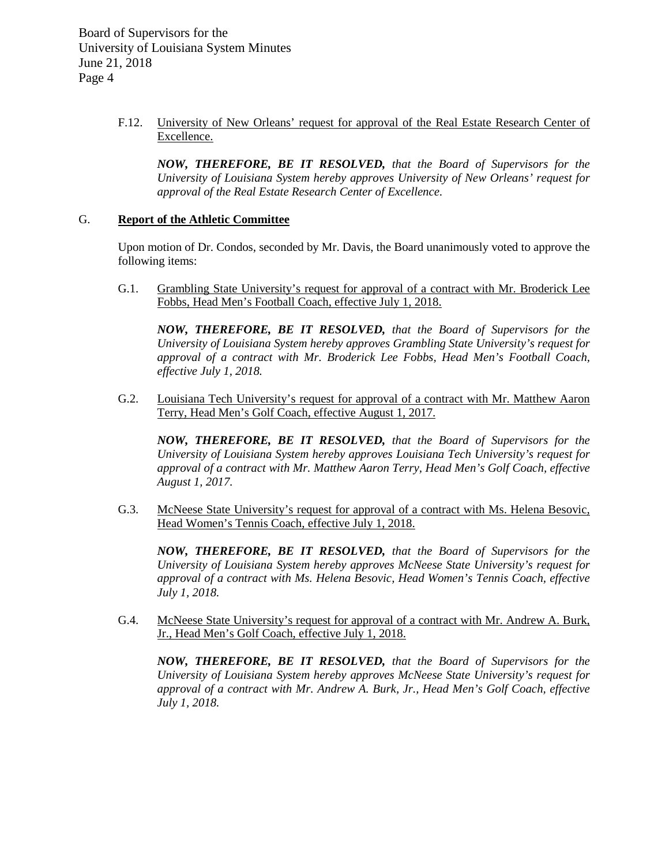> F.12. University of New Orleans' request for approval of the Real Estate Research Center of Excellence.

*NOW, THEREFORE, BE IT RESOLVED, that the Board of Supervisors for the University of Louisiana System hereby approves University of New Orleans' request for approval of the Real Estate Research Center of Excellence.* 

## G. **Report of the Athletic Committee**

Upon motion of Dr. Condos, seconded by Mr. Davis, the Board unanimously voted to approve the following items:

G.1. Grambling State University's request for approval of a contract with Mr. Broderick Lee Fobbs, Head Men's Football Coach, effective July 1, 2018.

*NOW, THEREFORE, BE IT RESOLVED, that the Board of Supervisors for the University of Louisiana System hereby approves Grambling State University's request for approval of a contract with Mr. Broderick Lee Fobbs, Head Men's Football Coach, effective July 1, 2018.*

G.2. Louisiana Tech University's request for approval of a contract with Mr. Matthew Aaron Terry, Head Men's Golf Coach, effective August 1, 2017.

*NOW, THEREFORE, BE IT RESOLVED, that the Board of Supervisors for the University of Louisiana System hereby approves Louisiana Tech University's request for approval of a contract with Mr. Matthew Aaron Terry, Head Men's Golf Coach, effective August 1, 2017.*

G.3. McNeese State University's request for approval of a contract with Ms. Helena Besovic, Head Women's Tennis Coach, effective July 1, 2018.

*NOW, THEREFORE, BE IT RESOLVED, that the Board of Supervisors for the University of Louisiana System hereby approves McNeese State University's request for approval of a contract with Ms. Helena Besovic, Head Women's Tennis Coach, effective July 1, 2018.*

G.4. McNeese State University's request for approval of a contract with Mr. Andrew A. Burk, Jr., Head Men's Golf Coach, effective July 1, 2018.

*NOW, THEREFORE, BE IT RESOLVED, that the Board of Supervisors for the University of Louisiana System hereby approves McNeese State University's request for approval of a contract with Mr. Andrew A. Burk, Jr., Head Men's Golf Coach, effective July 1, 2018.*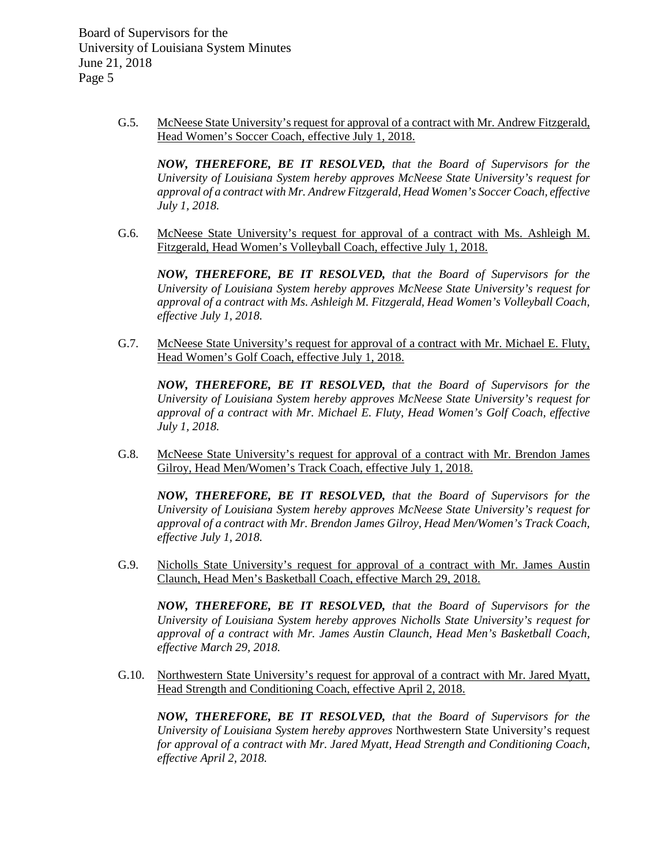> G.5. McNeese State University's request for approval of a contract with Mr. Andrew Fitzgerald, Head Women's Soccer Coach, effective July 1, 2018.

*NOW, THEREFORE, BE IT RESOLVED, that the Board of Supervisors for the University of Louisiana System hereby approves McNeese State University's request for approval of a contract with Mr. Andrew Fitzgerald, Head Women's Soccer Coach, effective July 1, 2018.*

G.6. McNeese State University's request for approval of a contract with Ms. Ashleigh M. Fitzgerald, Head Women's Volleyball Coach, effective July 1, 2018.

*NOW, THEREFORE, BE IT RESOLVED, that the Board of Supervisors for the University of Louisiana System hereby approves McNeese State University's request for approval of a contract with Ms. Ashleigh M. Fitzgerald, Head Women's Volleyball Coach, effective July 1, 2018.*

G.7. McNeese State University's request for approval of a contract with Mr. Michael E. Fluty, Head Women's Golf Coach, effective July 1, 2018.

*NOW, THEREFORE, BE IT RESOLVED, that the Board of Supervisors for the University of Louisiana System hereby approves McNeese State University's request for approval of a contract with Mr. Michael E. Fluty, Head Women's Golf Coach, effective July 1, 2018.*

G.8. McNeese State University's request for approval of a contract with Mr. Brendon James Gilroy, Head Men/Women's Track Coach, effective July 1, 2018.

*NOW, THEREFORE, BE IT RESOLVED, that the Board of Supervisors for the University of Louisiana System hereby approves McNeese State University's request for approval of a contract with Mr. Brendon James Gilroy, Head Men/Women's Track Coach, effective July 1, 2018.*

G.9. Nicholls State University's request for approval of a contract with Mr. James Austin Claunch, Head Men's Basketball Coach, effective March 29, 2018.

*NOW, THEREFORE, BE IT RESOLVED, that the Board of Supervisors for the University of Louisiana System hereby approves Nicholls State University's request for approval of a contract with Mr. James Austin Claunch, Head Men's Basketball Coach, effective March 29, 2018.*

G.10. Northwestern State University's request for approval of a contract with Mr. Jared Myatt, Head Strength and Conditioning Coach, effective April 2, 2018.

*NOW, THEREFORE, BE IT RESOLVED, that the Board of Supervisors for the University of Louisiana System hereby approves* Northwestern State University's request *for approval of a contract with Mr. Jared Myatt, Head Strength and Conditioning Coach, effective April 2, 2018.*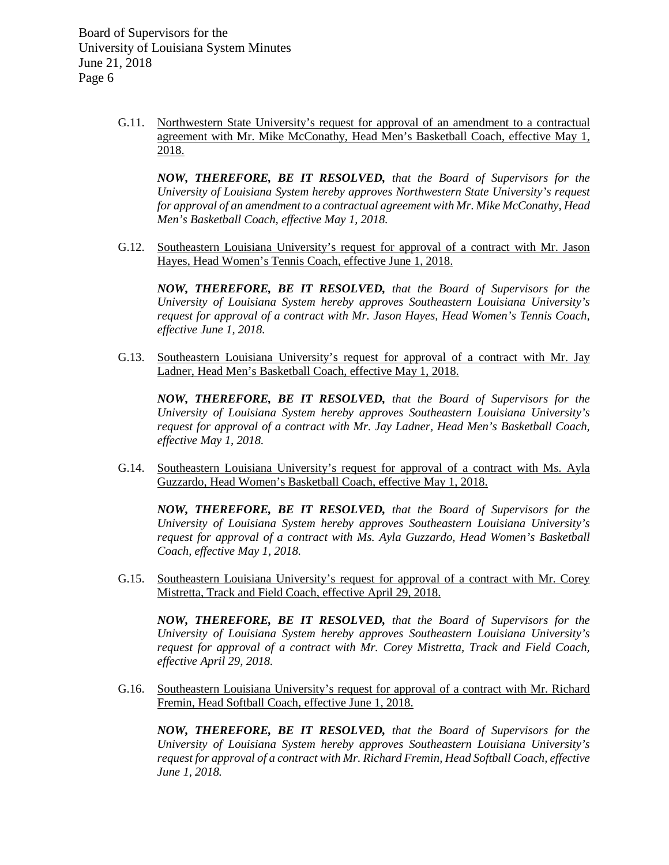> G.11. Northwestern State University's request for approval of an amendment to a contractual agreement with Mr. Mike McConathy, Head Men's Basketball Coach, effective May 1, 2018.

*NOW, THEREFORE, BE IT RESOLVED, that the Board of Supervisors for the University of Louisiana System hereby approves Northwestern State University's request for approval of an amendment to a contractual agreement with Mr. Mike McConathy, Head Men's Basketball Coach, effective May 1, 2018.*

G.12. Southeastern Louisiana University's request for approval of a contract with Mr. Jason Hayes, Head Women's Tennis Coach, effective June 1, 2018.

*NOW, THEREFORE, BE IT RESOLVED, that the Board of Supervisors for the University of Louisiana System hereby approves Southeastern Louisiana University's request for approval of a contract with Mr. Jason Hayes, Head Women's Tennis Coach, effective June 1, 2018.*

G.13. Southeastern Louisiana University's request for approval of a contract with Mr. Jay Ladner, Head Men's Basketball Coach, effective May 1, 2018.

*NOW, THEREFORE, BE IT RESOLVED, that the Board of Supervisors for the University of Louisiana System hereby approves Southeastern Louisiana University's request for approval of a contract with Mr. Jay Ladner, Head Men's Basketball Coach, effective May 1, 2018.*

G.14. Southeastern Louisiana University's request for approval of a contract with Ms. Ayla Guzzardo, Head Women's Basketball Coach, effective May 1, 2018.

*NOW, THEREFORE, BE IT RESOLVED, that the Board of Supervisors for the University of Louisiana System hereby approves Southeastern Louisiana University's request for approval of a contract with Ms. Ayla Guzzardo, Head Women's Basketball Coach, effective May 1, 2018.*

G.15. Southeastern Louisiana University's request for approval of a contract with Mr. Corey Mistretta, Track and Field Coach, effective April 29, 2018.

*NOW, THEREFORE, BE IT RESOLVED, that the Board of Supervisors for the University of Louisiana System hereby approves Southeastern Louisiana University's request for approval of a contract with Mr. Corey Mistretta, Track and Field Coach, effective April 29, 2018.*

G.16. Southeastern Louisiana University's request for approval of a contract with Mr. Richard Fremin, Head Softball Coach, effective June 1, 2018.

*NOW, THEREFORE, BE IT RESOLVED, that the Board of Supervisors for the University of Louisiana System hereby approves Southeastern Louisiana University's request for approval of a contract with Mr. Richard Fremin, Head Softball Coach, effective June 1, 2018.*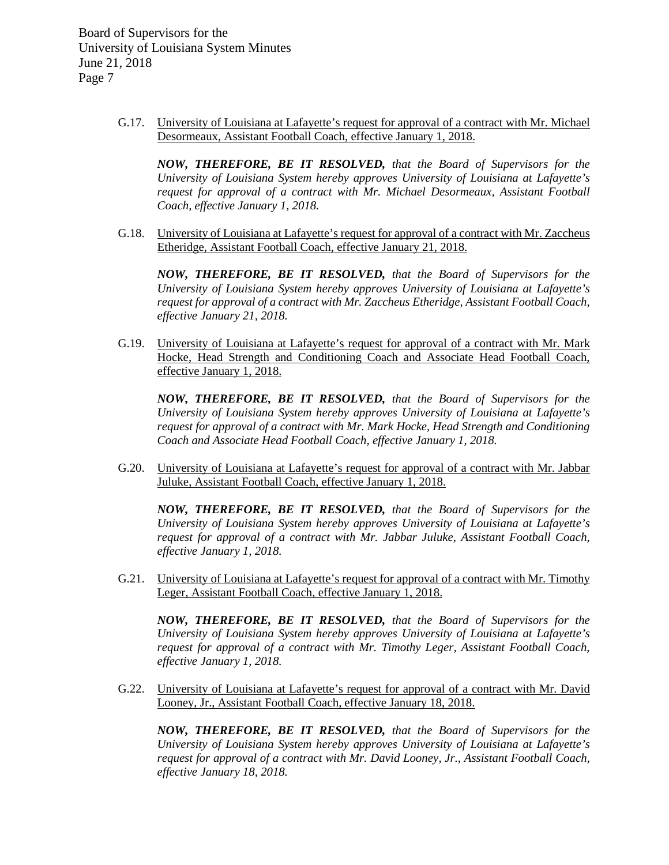> G.17. University of Louisiana at Lafayette's request for approval of a contract with Mr. Michael Desormeaux, Assistant Football Coach, effective January 1, 2018.

*NOW, THEREFORE, BE IT RESOLVED, that the Board of Supervisors for the University of Louisiana System hereby approves University of Louisiana at Lafayette's request for approval of a contract with Mr. Michael Desormeaux, Assistant Football Coach, effective January 1, 2018.*

G.18. University of Louisiana at Lafayette's request for approval of a contract with Mr. Zaccheus Etheridge, Assistant Football Coach, effective January 21, 2018.

*NOW, THEREFORE, BE IT RESOLVED, that the Board of Supervisors for the University of Louisiana System hereby approves University of Louisiana at Lafayette's request for approval of a contract with Mr. Zaccheus Etheridge, Assistant Football Coach, effective January 21, 2018.*

G.19. University of Louisiana at Lafayette's request for approval of a contract with Mr. Mark Hocke, Head Strength and Conditioning Coach and Associate Head Football Coach, effective January 1, 2018.

*NOW, THEREFORE, BE IT RESOLVED, that the Board of Supervisors for the University of Louisiana System hereby approves University of Louisiana at Lafayette's request for approval of a contract with Mr. Mark Hocke, Head Strength and Conditioning Coach and Associate Head Football Coach, effective January 1, 2018.*

G.20. University of Louisiana at Lafayette's request for approval of a contract with Mr. Jabbar Juluke, Assistant Football Coach, effective January 1, 2018.

*NOW, THEREFORE, BE IT RESOLVED, that the Board of Supervisors for the University of Louisiana System hereby approves University of Louisiana at Lafayette's request for approval of a contract with Mr. Jabbar Juluke, Assistant Football Coach, effective January 1, 2018.*

G.21. University of Louisiana at Lafayette's request for approval of a contract with Mr. Timothy Leger, Assistant Football Coach, effective January 1, 2018.

*NOW, THEREFORE, BE IT RESOLVED, that the Board of Supervisors for the University of Louisiana System hereby approves University of Louisiana at Lafayette's request for approval of a contract with Mr. Timothy Leger, Assistant Football Coach, effective January 1, 2018.*

G.22. University of Louisiana at Lafayette's request for approval of a contract with Mr. David Looney, Jr., Assistant Football Coach, effective January 18, 2018.

*NOW, THEREFORE, BE IT RESOLVED, that the Board of Supervisors for the University of Louisiana System hereby approves University of Louisiana at Lafayette's request for approval of a contract with Mr. David Looney, Jr., Assistant Football Coach, effective January 18, 2018.*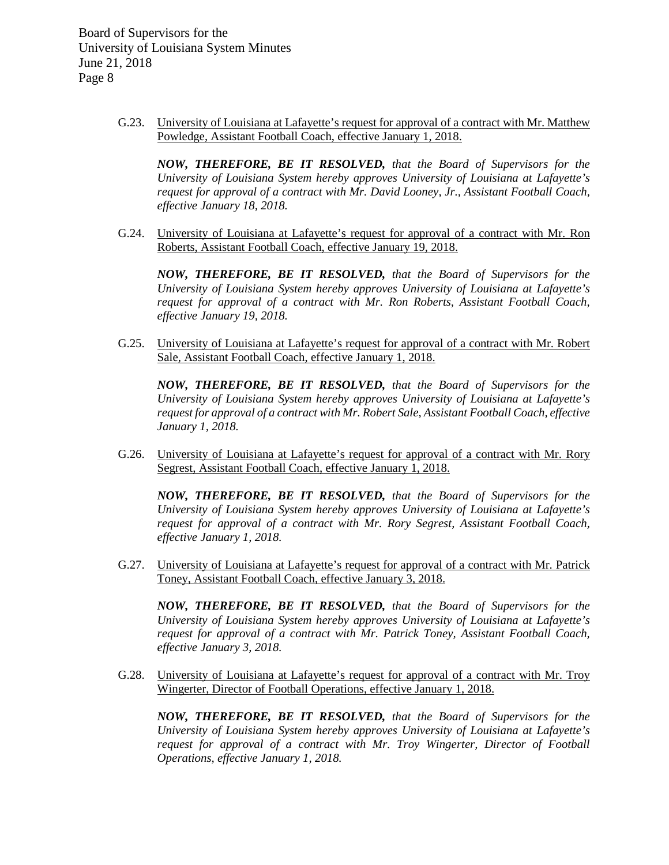> G.23. University of Louisiana at Lafayette's request for approval of a contract with Mr. Matthew Powledge, Assistant Football Coach, effective January 1, 2018.

*NOW, THEREFORE, BE IT RESOLVED, that the Board of Supervisors for the University of Louisiana System hereby approves University of Louisiana at Lafayette's request for approval of a contract with Mr. David Looney, Jr., Assistant Football Coach, effective January 18, 2018.*

G.24. University of Louisiana at Lafayette's request for approval of a contract with Mr. Ron Roberts, Assistant Football Coach, effective January 19, 2018.

*NOW, THEREFORE, BE IT RESOLVED, that the Board of Supervisors for the University of Louisiana System hereby approves University of Louisiana at Lafayette's request for approval of a contract with Mr. Ron Roberts, Assistant Football Coach, effective January 19, 2018.*

G.25. University of Louisiana at Lafayette's request for approval of a contract with Mr. Robert Sale, Assistant Football Coach, effective January 1, 2018.

*NOW, THEREFORE, BE IT RESOLVED, that the Board of Supervisors for the University of Louisiana System hereby approves University of Louisiana at Lafayette's request for approval of a contract with Mr. Robert Sale, Assistant Football Coach, effective January 1, 2018.*

G.26. University of Louisiana at Lafayette's request for approval of a contract with Mr. Rory Segrest, Assistant Football Coach, effective January 1, 2018.

*NOW, THEREFORE, BE IT RESOLVED, that the Board of Supervisors for the University of Louisiana System hereby approves University of Louisiana at Lafayette's request for approval of a contract with Mr. Rory Segrest, Assistant Football Coach, effective January 1, 2018.*

G.27. University of Louisiana at Lafayette's request for approval of a contract with Mr. Patrick Toney, Assistant Football Coach, effective January 3, 2018.

*NOW, THEREFORE, BE IT RESOLVED, that the Board of Supervisors for the University of Louisiana System hereby approves University of Louisiana at Lafayette's request for approval of a contract with Mr. Patrick Toney, Assistant Football Coach, effective January 3, 2018.*

G.28. University of Louisiana at Lafayette's request for approval of a contract with Mr. Troy Wingerter, Director of Football Operations, effective January 1, 2018.

*NOW, THEREFORE, BE IT RESOLVED, that the Board of Supervisors for the University of Louisiana System hereby approves University of Louisiana at Lafayette's request for approval of a contract with Mr. Troy Wingerter, Director of Football Operations, effective January 1, 2018.*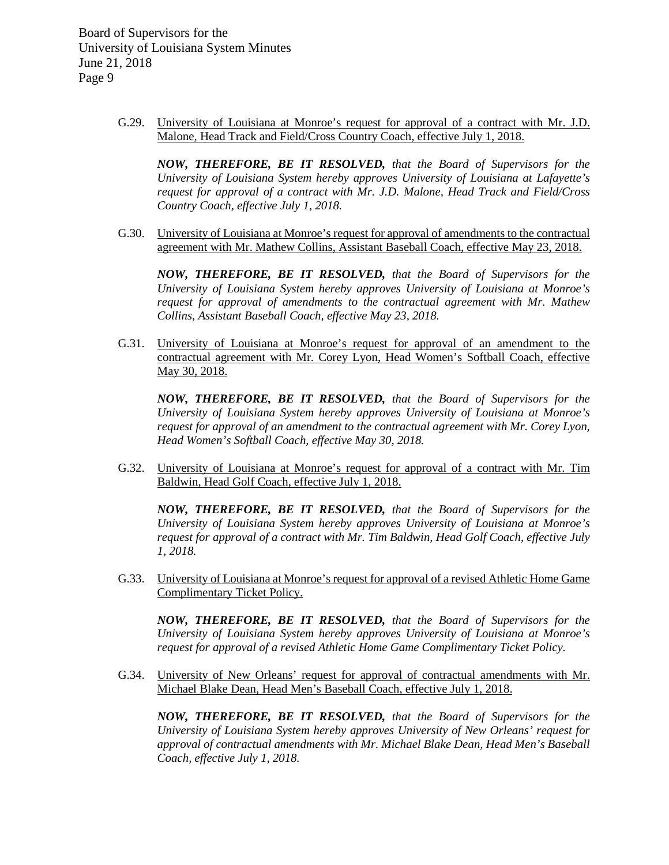> G.29. University of Louisiana at Monroe's request for approval of a contract with Mr. J.D. Malone, Head Track and Field/Cross Country Coach, effective July 1, 2018.

*NOW, THEREFORE, BE IT RESOLVED, that the Board of Supervisors for the University of Louisiana System hereby approves University of Louisiana at Lafayette's request for approval of a contract with Mr. J.D. Malone, Head Track and Field/Cross Country Coach, effective July 1, 2018.*

G.30. University of Louisiana at Monroe's request for approval of amendments to the contractual agreement with Mr. Mathew Collins, Assistant Baseball Coach, effective May 23, 2018.

*NOW, THEREFORE, BE IT RESOLVED, that the Board of Supervisors for the University of Louisiana System hereby approves University of Louisiana at Monroe's request for approval of amendments to the contractual agreement with Mr. Mathew Collins, Assistant Baseball Coach, effective May 23, 2018.*

G.31. University of Louisiana at Monroe's request for approval of an amendment to the contractual agreement with Mr. Corey Lyon, Head Women's Softball Coach, effective May 30, 2018.

*NOW, THEREFORE, BE IT RESOLVED, that the Board of Supervisors for the University of Louisiana System hereby approves University of Louisiana at Monroe's request for approval of an amendment to the contractual agreement with Mr. Corey Lyon, Head Women's Softball Coach, effective May 30, 2018.*

G.32. University of Louisiana at Monroe's request for approval of a contract with Mr. Tim Baldwin, Head Golf Coach, effective July 1, 2018.

*NOW, THEREFORE, BE IT RESOLVED, that the Board of Supervisors for the University of Louisiana System hereby approves University of Louisiana at Monroe's request for approval of a contract with Mr. Tim Baldwin, Head Golf Coach, effective July 1, 2018.*

G.33. University of Louisiana at Monroe's request for approval of a revised Athletic Home Game Complimentary Ticket Policy.

*NOW, THEREFORE, BE IT RESOLVED, that the Board of Supervisors for the University of Louisiana System hereby approves University of Louisiana at Monroe's request for approval of a revised Athletic Home Game Complimentary Ticket Policy.* 

G.34. University of New Orleans' request for approval of contractual amendments with Mr. Michael Blake Dean, Head Men's Baseball Coach, effective July 1, 2018.

*NOW, THEREFORE, BE IT RESOLVED, that the Board of Supervisors for the University of Louisiana System hereby approves University of New Orleans' request for approval of contractual amendments with Mr. Michael Blake Dean, Head Men's Baseball Coach, effective July 1, 2018.*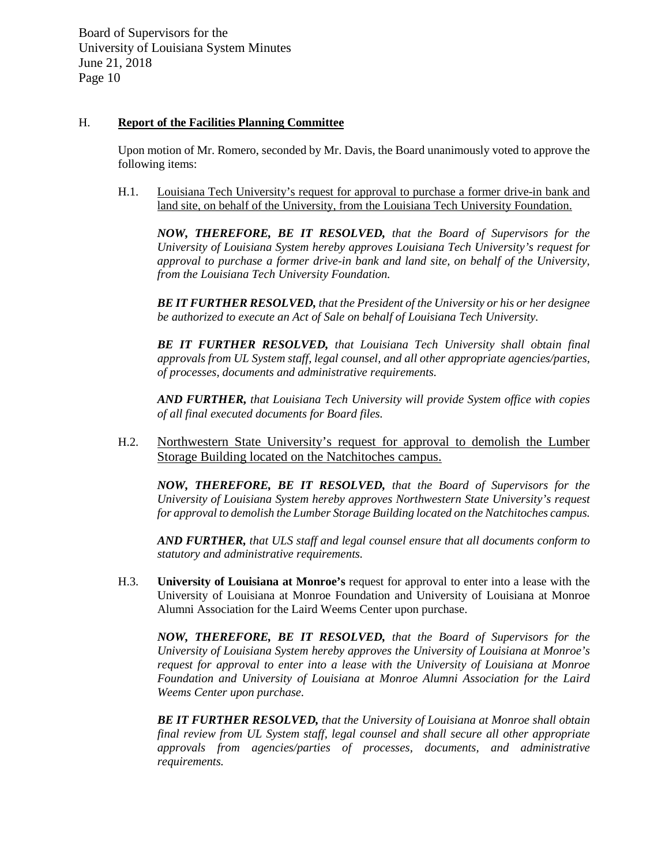# H. **Report of the Facilities Planning Committee**

Upon motion of Mr. Romero, seconded by Mr. Davis, the Board unanimously voted to approve the following items:

H.1. Louisiana Tech University's request for approval to purchase a former drive-in bank and land site, on behalf of the University, from the Louisiana Tech University Foundation.

*NOW, THEREFORE, BE IT RESOLVED, that the Board of Supervisors for the University of Louisiana System hereby approves Louisiana Tech University's request for approval to purchase a former drive-in bank and land site, on behalf of the University, from the Louisiana Tech University Foundation.*

*BE IT FURTHER RESOLVED, that the President of the University or his or her designee be authorized to execute an Act of Sale on behalf of Louisiana Tech University.*

*BE IT FURTHER RESOLVED, that Louisiana Tech University shall obtain final approvals from UL System staff, legal counsel, and all other appropriate agencies/parties, of processes, documents and administrative requirements.*

*AND FURTHER, that Louisiana Tech University will provide System office with copies of all final executed documents for Board files.*

H.2. Northwestern State University's request for approval to demolish the Lumber Storage Building located on the Natchitoches campus.

*NOW, THEREFORE, BE IT RESOLVED, that the Board of Supervisors for the University of Louisiana System hereby approves Northwestern State University's request for approval to demolish the Lumber Storage Building located on the Natchitoches campus.* 

*AND FURTHER, that ULS staff and legal counsel ensure that all documents conform to statutory and administrative requirements.*

H.3. **University of Louisiana at Monroe's** request for approval to enter into a lease with the University of Louisiana at Monroe Foundation and University of Louisiana at Monroe Alumni Association for the Laird Weems Center upon purchase.

*NOW, THEREFORE, BE IT RESOLVED, that the Board of Supervisors for the University of Louisiana System hereby approves the University of Louisiana at Monroe's request for approval to enter into a lease with the University of Louisiana at Monroe Foundation and University of Louisiana at Monroe Alumni Association for the Laird Weems Center upon purchase.*

*BE IT FURTHER RESOLVED, that the University of Louisiana at Monroe shall obtain final review from UL System staff, legal counsel and shall secure all other appropriate approvals from agencies/parties of processes, documents, and administrative requirements.*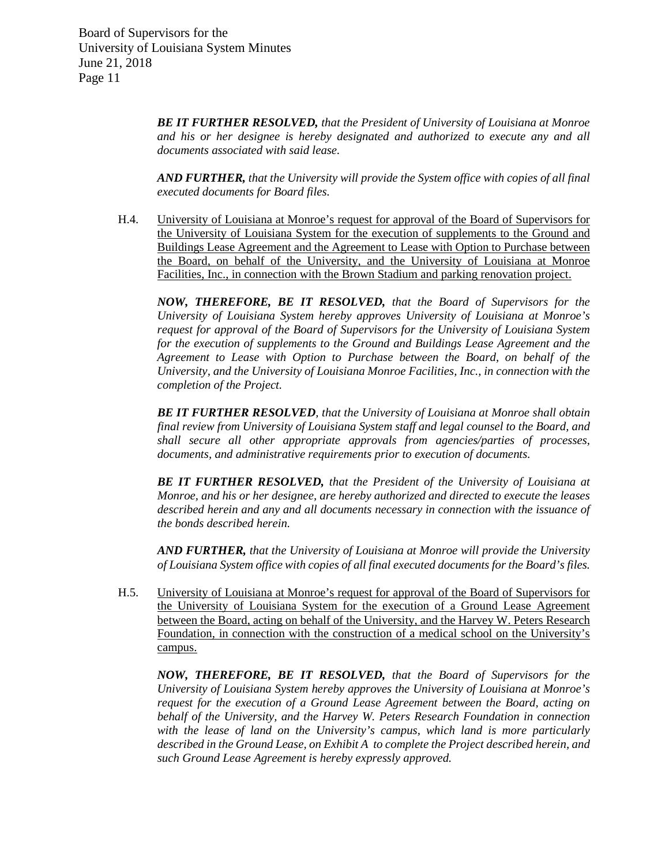> *BE IT FURTHER RESOLVED, that the President of University of Louisiana at Monroe and his or her designee is hereby designated and authorized to execute any and all documents associated with said lease.*

> *AND FURTHER, that the University will provide the System office with copies of all final executed documents for Board files.*

H.4. University of Louisiana at Monroe's request for approval of the Board of Supervisors for the University of Louisiana System for the execution of supplements to the Ground and Buildings Lease Agreement and the Agreement to Lease with Option to Purchase between the Board, on behalf of the University, and the University of Louisiana at Monroe Facilities, Inc., in connection with the Brown Stadium and parking renovation project.

*NOW, THEREFORE, BE IT RESOLVED, that the Board of Supervisors for the University of Louisiana System hereby approves University of Louisiana at Monroe's request for approval of the Board of Supervisors for the University of Louisiana System for the execution of supplements to the Ground and Buildings Lease Agreement and the Agreement to Lease with Option to Purchase between the Board, on behalf of the University, and the University of Louisiana Monroe Facilities, Inc., in connection with the completion of the Project.* 

*BE IT FURTHER RESOLVED, that the University of Louisiana at Monroe shall obtain final review from University of Louisiana System staff and legal counsel to the Board, and shall secure all other appropriate approvals from agencies/parties of processes, documents, and administrative requirements prior to execution of documents.* 

*BE IT FURTHER RESOLVED, that the President of the University of Louisiana at Monroe, and his or her designee, are hereby authorized and directed to execute the leases described herein and any and all documents necessary in connection with the issuance of the bonds described herein.*

*AND FURTHER, that the University of Louisiana at Monroe will provide the University of Louisiana System office with copies of all final executed documents for the Board's files.*

H.5. University of Louisiana at Monroe's request for approval of the Board of Supervisors for the University of Louisiana System for the execution of a Ground Lease Agreement between the Board, acting on behalf of the University, and the Harvey W. Peters Research Foundation, in connection with the construction of a medical school on the University's campus.

*NOW, THEREFORE, BE IT RESOLVED, that the Board of Supervisors for the University of Louisiana System hereby approves the University of Louisiana at Monroe's request for the execution of a Ground Lease Agreement between the Board, acting on behalf of the University, and the Harvey W. Peters Research Foundation in connection with the lease of land on the University's campus, which land is more particularly described in the Ground Lease, on Exhibit A to complete the Project described herein, and such Ground Lease Agreement is hereby expressly approved.*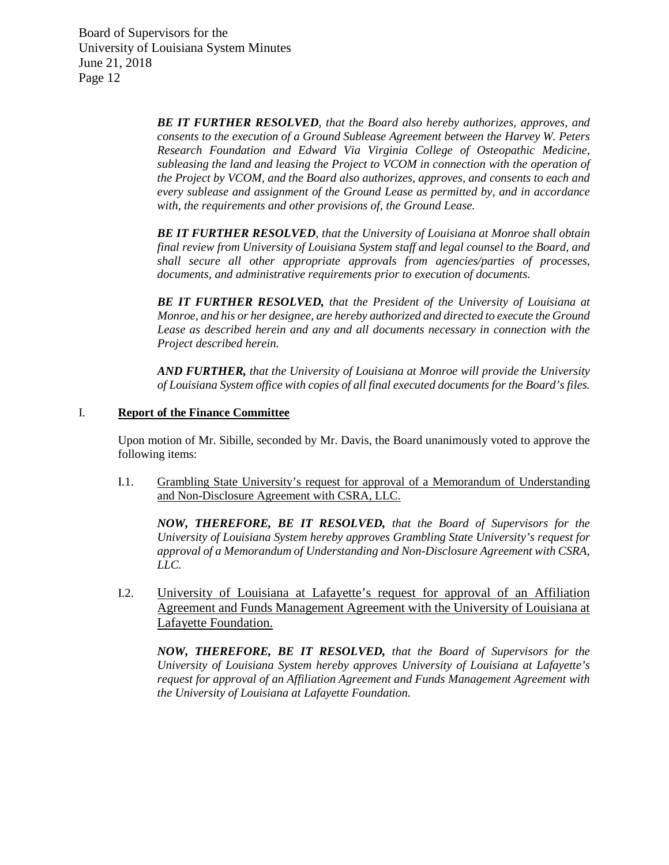> *BE IT FURTHER RESOLVED, that the Board also hereby authorizes, approves, and consents to the execution of a Ground Sublease Agreement between the Harvey W. Peters Research Foundation and Edward Via Virginia College of Osteopathic Medicine, subleasing the land and leasing the Project to VCOM in connection with the operation of the Project by VCOM, and the Board also authorizes, approves, and consents to each and every sublease and assignment of the Ground Lease as permitted by, and in accordance with, the requirements and other provisions of, the Ground Lease.*

> *BE IT FURTHER RESOLVED, that the University of Louisiana at Monroe shall obtain final review from University of Louisiana System staff and legal counsel to the Board, and shall secure all other appropriate approvals from agencies/parties of processes, documents, and administrative requirements prior to execution of documents.*

> *BE IT FURTHER RESOLVED, that the President of the University of Louisiana at Monroe, and his or her designee, are hereby authorized and directed to execute the Ground Lease as described herein and any and all documents necessary in connection with the Project described herein.*

> *AND FURTHER, that the University of Louisiana at Monroe will provide the University of Louisiana System office with copies of all final executed documents for the Board's files.*

### I. **Report of the Finance Committee**

Upon motion of Mr. Sibille, seconded by Mr. Davis, the Board unanimously voted to approve the following items:

I.1. Grambling State University's request for approval of a Memorandum of Understanding and Non-Disclosure Agreement with CSRA, LLC.

*NOW, THEREFORE, BE IT RESOLVED, that the Board of Supervisors for the University of Louisiana System hereby approves Grambling State University's request for approval of a Memorandum of Understanding and Non-Disclosure Agreement with CSRA, LLC.* 

I.2. University of Louisiana at Lafayette's request for approval of an Affiliation Agreement and Funds Management Agreement with the University of Louisiana at Lafayette Foundation.

*NOW, THEREFORE, BE IT RESOLVED, that the Board of Supervisors for the University of Louisiana System hereby approves University of Louisiana at Lafayette's request for approval of an Affiliation Agreement and Funds Management Agreement with the University of Louisiana at Lafayette Foundation.*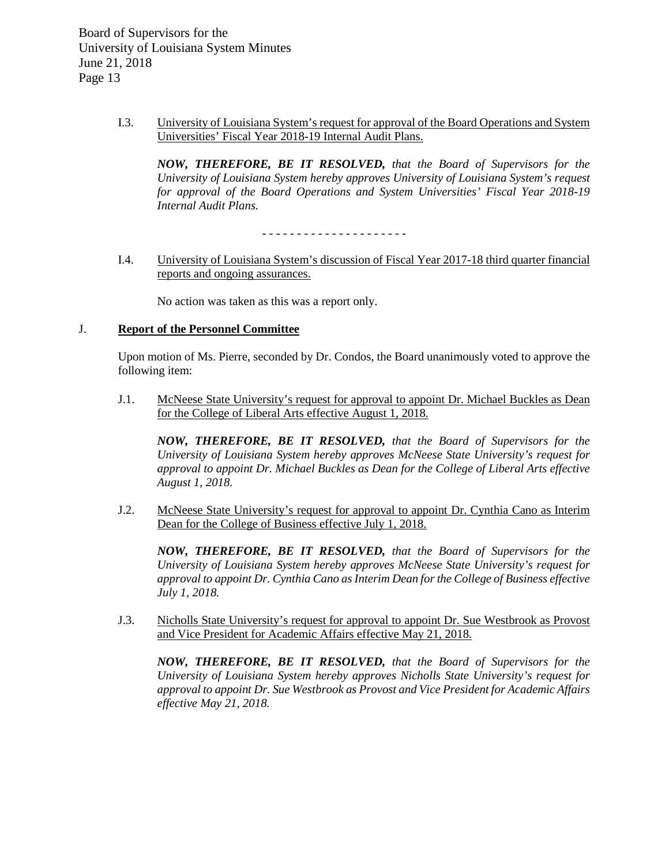> I.3. University of Louisiana System's request for approval of the Board Operations and System Universities' Fiscal Year 2018-19 Internal Audit Plans.

*NOW, THEREFORE, BE IT RESOLVED, that the Board of Supervisors for the University of Louisiana System hereby approves University of Louisiana System's request for approval of the Board Operations and System Universities' Fiscal Year 2018-19 Internal Audit Plans.*

- - - - - - - - - - - - - - - - - - - - -

I.4. University of Louisiana System's discussion of Fiscal Year 2017-18 third quarter financial reports and ongoing assurances.

No action was taken as this was a report only.

### J. **Report of the Personnel Committee**

Upon motion of Ms. Pierre, seconded by Dr. Condos, the Board unanimously voted to approve the following item:

J.1. McNeese State University's request for approval to appoint Dr. Michael Buckles as Dean for the College of Liberal Arts effective August 1, 2018.

*NOW, THEREFORE, BE IT RESOLVED, that the Board of Supervisors for the University of Louisiana System hereby approves McNeese State University's request for approval to appoint Dr. Michael Buckles as Dean for the College of Liberal Arts effective August 1, 2018.*

J.2. McNeese State University's request for approval to appoint Dr. Cynthia Cano as Interim Dean for the College of Business effective July 1, 2018.

*NOW, THEREFORE, BE IT RESOLVED, that the Board of Supervisors for the University of Louisiana System hereby approves McNeese State University's request for approval to appoint Dr. Cynthia Cano as Interim Dean for the College of Business effective July 1, 2018.*

J.3. Nicholls State University's request for approval to appoint Dr. Sue Westbrook as Provost and Vice President for Academic Affairs effective May 21, 2018.

*NOW, THEREFORE, BE IT RESOLVED, that the Board of Supervisors for the University of Louisiana System hereby approves Nicholls State University's request for approval to appoint Dr. Sue Westbrook as Provost and Vice President for Academic Affairs effective May 21, 2018.*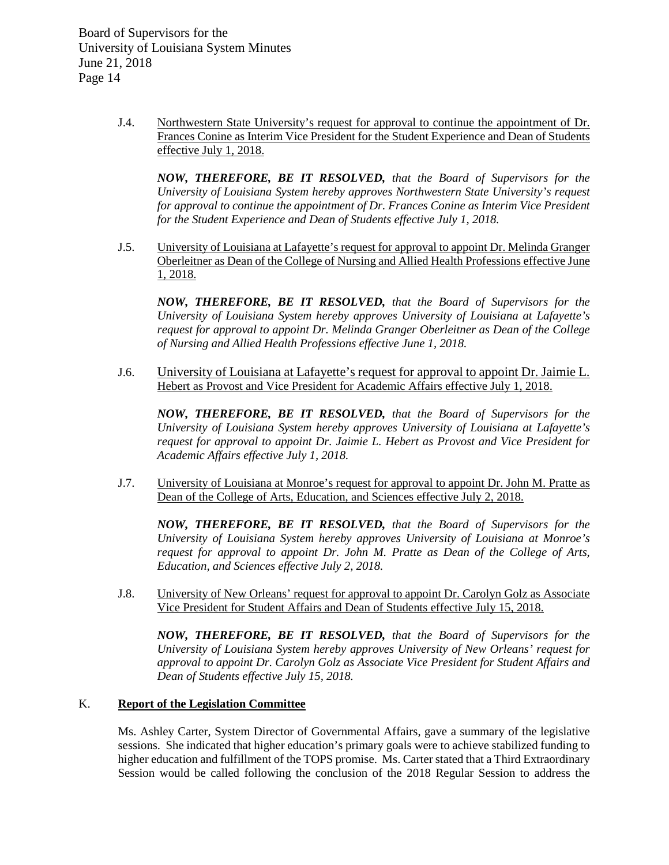> J.4. Northwestern State University's request for approval to continue the appointment of Dr. Frances Conine as Interim Vice President for the Student Experience and Dean of Students effective July 1, 2018.

*NOW, THEREFORE, BE IT RESOLVED, that the Board of Supervisors for the University of Louisiana System hereby approves Northwestern State University's request for approval to continue the appointment of Dr. Frances Conine as Interim Vice President for the Student Experience and Dean of Students effective July 1, 2018.*

J.5. University of Louisiana at Lafayette's request for approval to appoint Dr. Melinda Granger Oberleitner as Dean of the College of Nursing and Allied Health Professions effective June 1, 2018.

*NOW, THEREFORE, BE IT RESOLVED, that the Board of Supervisors for the University of Louisiana System hereby approves University of Louisiana at Lafayette's request for approval to appoint Dr. Melinda Granger Oberleitner as Dean of the College of Nursing and Allied Health Professions effective June 1, 2018.*

J.6. University of Louisiana at Lafayette's request for approval to appoint Dr. Jaimie L. Hebert as Provost and Vice President for Academic Affairs effective July 1, 2018.

*NOW, THEREFORE, BE IT RESOLVED, that the Board of Supervisors for the University of Louisiana System hereby approves University of Louisiana at Lafayette's request for approval to appoint Dr. Jaimie L. Hebert as Provost and Vice President for Academic Affairs effective July 1, 2018.*

J.7. University of Louisiana at Monroe's request for approval to appoint Dr. John M. Pratte as Dean of the College of Arts, Education, and Sciences effective July 2, 2018.

*NOW, THEREFORE, BE IT RESOLVED, that the Board of Supervisors for the University of Louisiana System hereby approves University of Louisiana at Monroe's request for approval to appoint Dr. John M. Pratte as Dean of the College of Arts, Education, and Sciences effective July 2, 2018.*

J.8. University of New Orleans' request for approval to appoint Dr. Carolyn Golz as Associate Vice President for Student Affairs and Dean of Students effective July 15, 2018.

*NOW, THEREFORE, BE IT RESOLVED, that the Board of Supervisors for the University of Louisiana System hereby approves University of New Orleans' request for approval to appoint Dr. Carolyn Golz as Associate Vice President for Student Affairs and Dean of Students effective July 15, 2018.*

# K. **Report of the Legislation Committee**

Ms. Ashley Carter, System Director of Governmental Affairs, gave a summary of the legislative sessions. She indicated that higher education's primary goals were to achieve stabilized funding to higher education and fulfillment of the TOPS promise. Ms. Carter stated that a Third Extraordinary Session would be called following the conclusion of the 2018 Regular Session to address the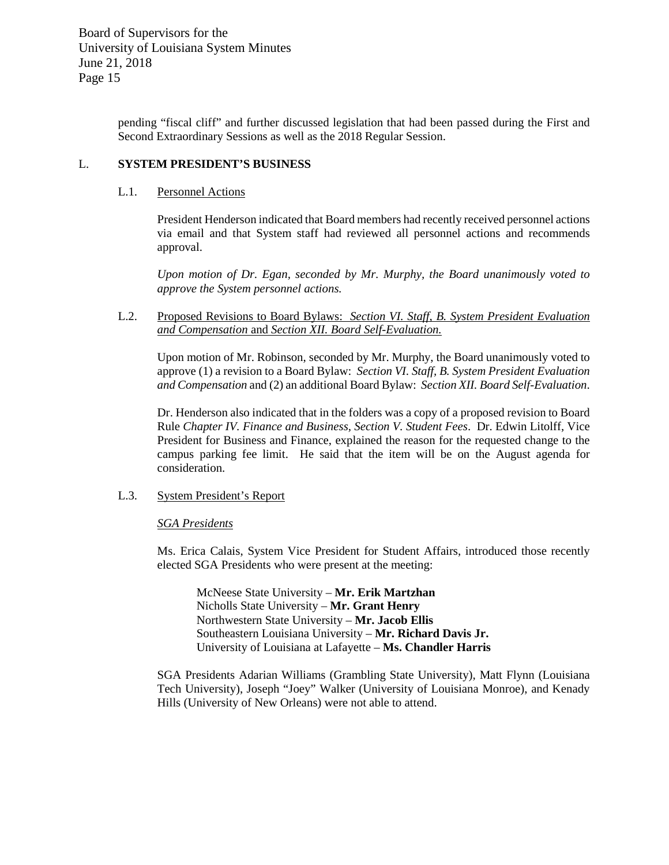pending "fiscal cliff" and further discussed legislation that had been passed during the First and Second Extraordinary Sessions as well as the 2018 Regular Session.

# L. **SYSTEM PRESIDENT'S BUSINESS**

## L.1. Personnel Actions

President Henderson indicated that Board members had recently received personnel actions via email and that System staff had reviewed all personnel actions and recommends approval.

*Upon motion of Dr. Egan, seconded by Mr. Murphy, the Board unanimously voted to approve the System personnel actions.*

L.2. Proposed Revisions to Board Bylaws: *Section VI. Staff, B. System President Evaluation and Compensation* and *Section XII. Board Self-Evaluation.*

Upon motion of Mr. Robinson, seconded by Mr. Murphy, the Board unanimously voted to approve (1) a revision to a Board Bylaw: *Section VI. Staff, B. System President Evaluation and Compensation* and (2) an additional Board Bylaw: *Section XII. Board Self-Evaluation*.

Dr. Henderson also indicated that in the folders was a copy of a proposed revision to Board Rule *Chapter IV. Finance and Business, Section V. Student Fees*. Dr. Edwin Litolff, Vice President for Business and Finance, explained the reason for the requested change to the campus parking fee limit. He said that the item will be on the August agenda for consideration.

# L.3. System President's Report

### *SGA Presidents*

Ms. Erica Calais, System Vice President for Student Affairs, introduced those recently elected SGA Presidents who were present at the meeting:

McNeese State University – **Mr. Erik Martzhan** Nicholls State University – **Mr. Grant Henry** Northwestern State University – **Mr. Jacob Ellis** Southeastern Louisiana University – **Mr. Richard Davis Jr.** University of Louisiana at Lafayette – **Ms. Chandler Harris**

SGA Presidents Adarian Williams (Grambling State University), Matt Flynn (Louisiana Tech University), Joseph "Joey" Walker (University of Louisiana Monroe), and Kenady Hills (University of New Orleans) were not able to attend.